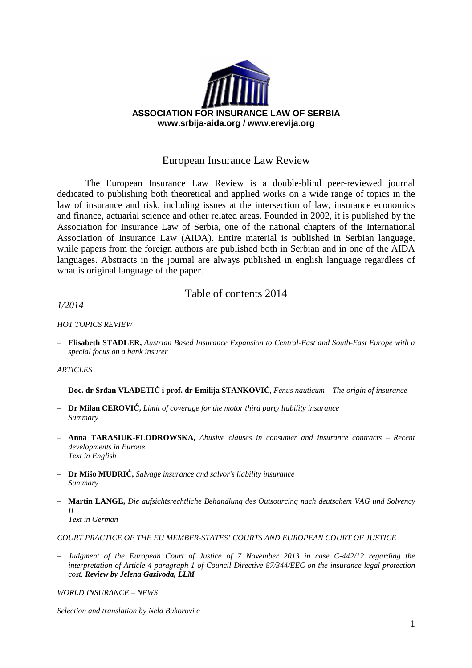

# European Insurance Law Review

The European Insurance Law Review is a double-blind peer-reviewed journal dedicated to publishing both theoretical and applied works on a wide range of topics in the law of insurance and risk, including issues at the intersection of law, insurance economics and finance, actuarial science and other related areas. Founded in 2002, it is published by the Association for Insurance Law of Serbia, one of the national chapters of the International Association of Insurance Law (AIDA). Entire material is published in Serbian language, while papers from the foreign authors are published both in Serbian and in one of the AIDA languages. Abstracts in the journal are always published in english language regardless of what is original language of the paper.

## Table of contents 2014

### *1/2014*

### *HOT TOPICS REVIEW*

– **Elisabeth STADLER,** *Austrian Based Insurance Expansion to Central-East and South-East Europe with a special focus on a bank insurer* 

### *ARTICLES*

- **Doc. dr Srđan VLADETIĆ i prof. dr Emilija STANKOVIĆ***, Fenus nauticum The origin of insurance*
- **Dr Milan CEROVIĆ,** *Limit of coverage for the motor third party liability insurance Summary*
- **Anna TARASIUK-FLODROWSKA,** *Abusive clauses in consumer and insurance contracts – Recent developments in Europe Text in English*
- **Dr Mišo MUDRIĆ,** *Sаlvage insurance and salvor's liability insurance Summary*
- **Martin LANGE,** *Die aufsichtsrechtliche Behandlung des Outsourcing nach deutschem VAG und Solvency II Text in German*

### *COURT PRACTICE OF THE EU MEMBER-STATES' COURTS AND EUROPEAN COURT OF JUSTICE*

– *Judgment of the European Court of Justice of 7 November 2013 in case C-442/12 regarding the interpretation of Article 4 paragraph 1 of Council Directive 87/344/EEC on the insurance legal protection cost. Review by Jelena Gazivoda, LLM*

*WORLD INSURANCE – NEWS* 

*Selection and translation by Nela Bukorovi c*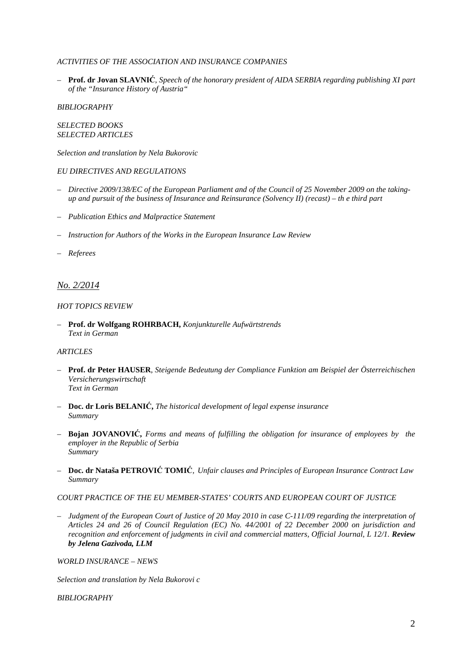### *ACTIVITIES OF THE ASSOCIATION AND INSURANCE COMPANIES*

– **Prof. dr Jovan SLAVNIĆ**, *Speech of the honorary president of AIDA SERBIA regarding publishing XI part of the "Insurance History of Austria"*

*BIBLIOGRAPHY*

*SELECTED BOOKS SELECTED ARTICLES*

*Selection and translation by Nela Bukorovic*

### *EU DIRECTIVES AND REGULATIONS*

- *Directive 2009/138/EC of the European Parliament and of the Council of 25 November 2009 on the takingup and pursuit of the business of Insurance and Reinsurance (Solvency II) (recast) – th e third part*
- *Publication Ethics and Malpractice Statement*
- *Instruction for Authors of the Works in the European Insurance Law Review*
- *Referees*

### *No. 2/2014*

#### *HOT TOPICS REVIEW*

– **Prof. dr Wolfgang ROHRBACH,** *Konjunkturelle Aufwärtstrends Text in German* 

### *ARTICLES*

- **Prof. dr Peter HAUSER***, Steigende Bedeutung der Compliance Funktion am Beispiel der Österreichischen Versicherungswirtschaft Text in German*
- **Doc. dr Loris BELANIĆ,** *The historical development of legal expense insurance Summary*
- **Bojan JOVANOVIĆ,** *Forms and means of fulfilling the obligation for insurance of employees by the employer in the Republic of Serbia Summary*
- **Doc. dr Nataša PETROVIĆ TOMIĆ***, Unfair clauses and Principles of European Insurance Contract Law Summary*

### *COURT PRACTICE OF THE EU MEMBER-STATES' COURTS AND EUROPEAN COURT OF JUSTICE*

– *Judgment of the European Court of Justice of 20 May 2010 in case C-111/09 regarding the interpretation of Articles 24 and 26 of Council Regulation (EC) No. 44/2001 of 22 December 2000 on jurisdiction and recognition and enforcement of judgments in civil and commercial matters, Official Journal, L 12/1. Review by Jelena Gazivoda, LLM*

*WORLD INSURANCE – NEWS* 

*Selection and translation by Nela Bukorovi c* 

*BIBLIOGRAPHY*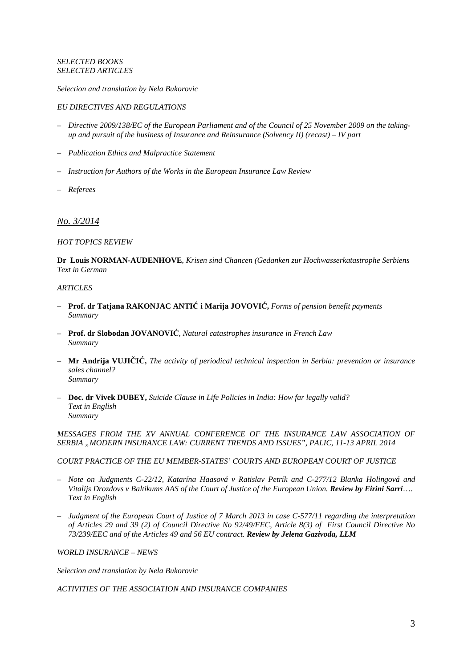#### *SELECTED BOOKS SELECTED ARTICLES*

*Selection and translation by Nela Bukorovic*

### *EU DIRECTIVES AND REGULATIONS*

- *Directive 2009/138/EC of the European Parliament and of the Council of 25 November 2009 on the takingup and pursuit of the business of Insurance and Reinsurance (Solvency II) (recast) – IV part*
- *Publication Ethics and Malpractice Statement*
- *Instruction for Authors of the Works in the European Insurance Law Review*
- *Referees*

### *No. 3/2014*

### *HOT TOPICS REVIEW*

**Dr Louis NORMAN-AUDENHOVE**, *Krisen sind Chancen (Gedanken zur Hochwasserkatastrophe Serbiens Text in German*

#### *ARTICLES*

- **Prof. dr Tatjana RAKONJAC ANTIĆ i Marija JOVOVIĆ,** *Forms of pension benefit payments Summary*
- **Prof. dr Slobodan JOVANOVIĆ**, *Natural catastrophes insurance in French Law Summary*
- **Mr Andrija VUJIČIĆ,** *The activity of periodical technical inspection in Serbia: prevention or insurance sales channel? Summary*
- **Doc. dr Vivek DUBEY,** *Suicide Clause in Life Policies in India: How far legally valid? Text in English Summary*

*MESSAGES FROM THE XV ANNUAL CONFERENCE OF THE INSURANCE LAW ASSOCIATION OF SERBIA "MODERN INSURANCE LAW: CURRENT TRENDS AND ISSUES", PALIC, 11-13 APRIL 2014*

*COURT PRACTICE OF THE EU MEMBER-STATES' COURTS AND EUROPEAN COURT OF JUSTICE* 

- *Note on Judgments C-22/12, Katarína Haasová v Ratislav Petrík and C-277/12 Blanka Holingová and Vitalijs Drozdovs v Baltikums AAS of the Court of Justice of the European Union. Review by Eirini Sarri*…. *Text in English*
- *Judgment of the European Court of Justice of 7 March 2013 in case C-577/11 regarding the interpretation of Articles 29 and 39 (2) of Council Directive No 92/49/EEC, Article 8(3) of First Council Directive No 73/239/EEC and of the Articles 49 and 56 EU contract. Review by Jelena Gazivoda, LLM*

### *WORLD INSURANCE – NEWS*

*Selection and translation by Nela Bukorovic* 

*ACTIVITIES OF THE ASSOCIATION AND INSURANCE COMPANIES*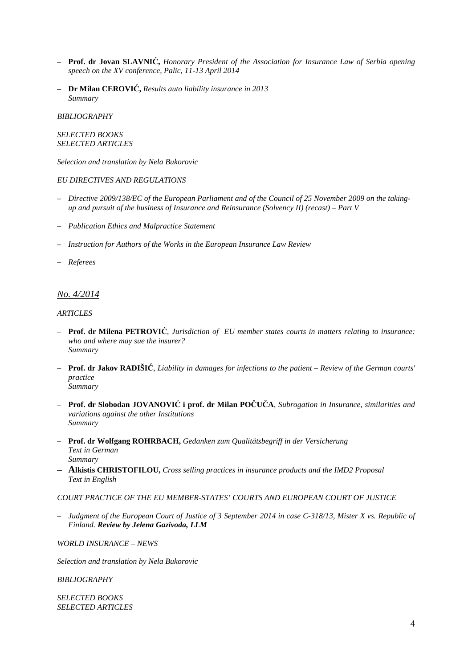- **– Prof. dr Jovan SLAVNIĆ,** *Honorary President of the Association for Insurance Law of Serbia opening speech on the XV conference, Palic, 11-13 April 2014*
- **– Dr Milan CEROVIĆ,** *Results auto liability insurance in 2013 Summary*

#### *BIBLIOGRAPHY*

### *SELECTED BOOKS SELECTED ARTICLES*

*Selection and translation by Nela Bukorovic*

#### *EU DIRECTIVES AND REGULATIONS*

- *Directive 2009/138/EC of the European Parliament and of the Council of 25 November 2009 on the takingup and pursuit of the business of Insurance and Reinsurance (Solvency II) (recast) – Part V*
- *Publication Ethics and Malpractice Statement*
- *Instruction for Authors of the Works in the European Insurance Law Review*
- *Referees*

## *No. 4/2014*

#### *ARTICLES*

- **Prof. dr Milena PETROVIĆ**, *Jurisdiction of EU member states courts in matters relating to insurance: who and where may sue the insurer? Summary*
- **Prof. dr Jakov RADIŠIĆ**, *Liability in damages for infections to the patient Review of the German courts' practice Summary*
- **Prof. dr Slobodan JOVANOVIĆ i prof. dr Milan POČUČA**, *Subrogation in Insurance, similarities and variations against the other Institutions Summary*
- **Prof. dr Wolfgang ROHRBACH,** *Gedanken zum Qualitätsbegriff in der Versicherung Text in German Summary*
- **Alkistis CHRISTOFILOU,** *Cross selling practices in insurance products and the IMD2 Proposal Text in English*

### *COURT PRACTICE OF THE EU MEMBER-STATES' COURTS AND EUROPEAN COURT OF JUSTICE*

– *Judgment of the European Court of Justice of 3 September 2014 in case C-318/13, Mister X vs. Republic of Finland. Review by Jelena Gazivoda, LLM*

*WORLD INSURANCE – NEWS* 

*Selection and translation by Nela Bukorovic* 

### *BIBLIOGRAPHY*

*SELECTED BOOKS SELECTED ARTICLES*